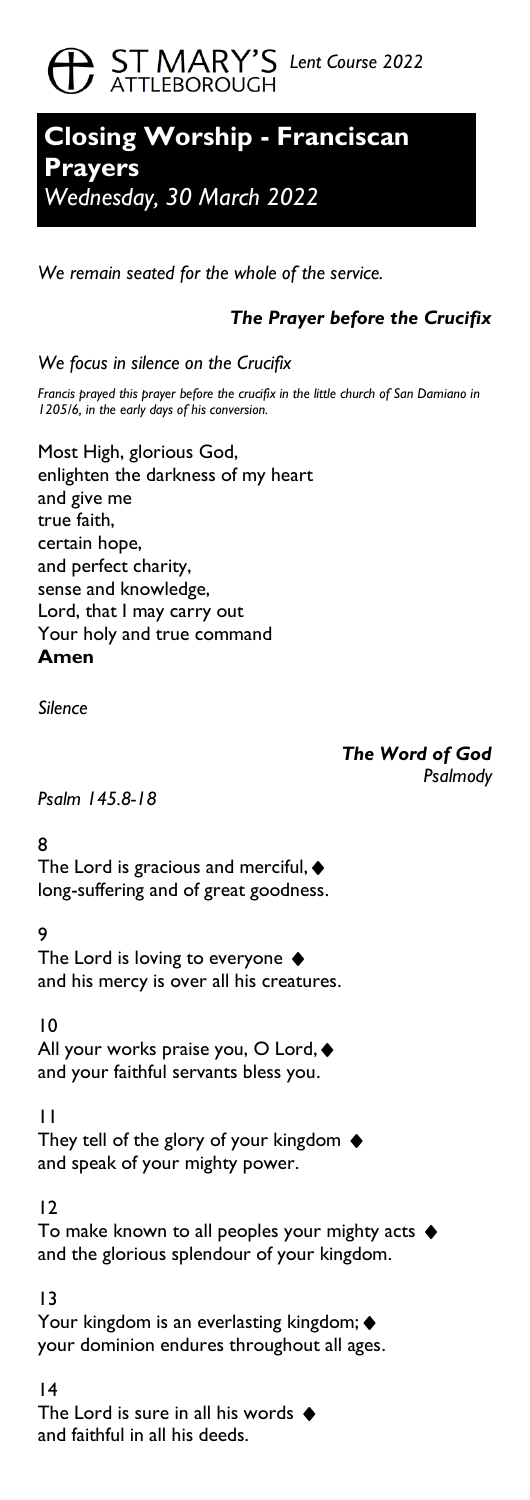# **CD** ST MARY'S Lent Course 2022

## **Closing Worship - Franciscan Prayers**  *Wednesday, 30 March 2022*

*We remain seated for the whole of the service.*

## *The Prayer before the Crucifix*

*We focus in silence on the Crucifix* 

*Francis prayed this prayer before the crucifix in the little church of San Damiano in 1205/6, in the early days of his conversion.*

Most High, glorious God, enlighten the darkness of my heart and give me true faith, certain hope, and perfect charity, sense and knowledge, Lord, that I may carry out Your holy and true command **Amen**

*Silence*

*The Word of God Psalmody*

*Psalm 145.8-18*

8

The Lord is gracious and merciful,  $\blacklozenge$ long-suffering and of great goodness.

9

The Lord is loving to everyone  $\blacklozenge$ and his mercy is over all his creatures.

10

All your works praise you, O Lord, ♦ and your faithful servants bless you.

11

They tell of the glory of your kingdom ♦ and speak of your mighty power.

12

To make known to all peoples your mighty acts ♦ and the glorious splendour of your kingdom.

13

Your kingdom is an everlasting kingdom; ♦ your dominion endures throughout all ages.

14 The Lord is sure in all his words  $\blacklozenge$ and faithful in all his deeds.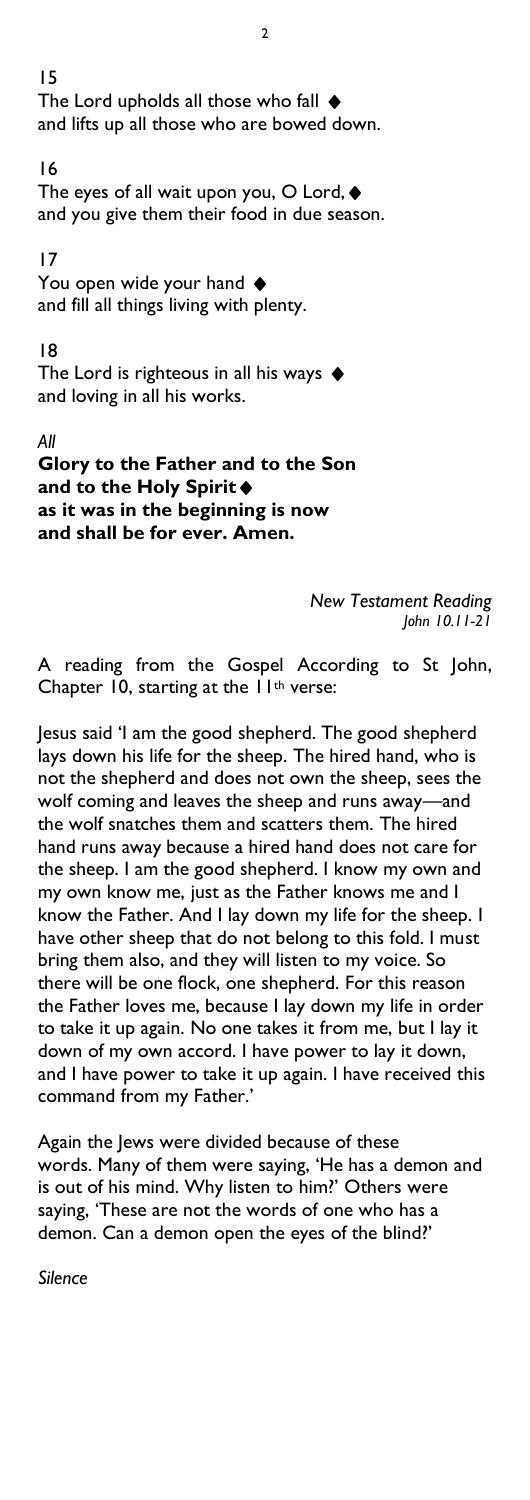15 The Lord upholds all those who fall ♦ and lifts up all those who are bowed down.

#### 16

The eyes of all wait upon you, O Lord, ♦ and you give them their food in due season.

#### 17

You open wide your hand  $\blacklozenge$ and fill all things living with plenty.

#### 18

The Lord is righteous in all his ways  $\blacklozenge$ and loving in all his works.

## *All*

**Glory to the Father and to the Son and to the Holy Spirit**♦ **as it was in the beginning is now and shall be for ever. Amen.**

> *New Testament Reading John 10.11-21*

A reading from the Gospel According to St John, Chapter 10, starting at the 11<sup>th</sup> verse:

Jesus said 'I am the good shepherd. The good shepherd lays down his life for the sheep. The hired hand, who is not the shepherd and does not own the sheep, sees the wolf coming and leaves the sheep and runs away—and the wolf snatches them and scatters them. The hired hand runs away because a hired hand does not care for the sheep. I am the good shepherd. I know my own and my own know me, just as the Father knows me and I know the Father. And I lay down my life for the sheep. I have other sheep that do not belong to this fold. I must bring them also, and they will listen to my voice. So there will be one flock, one shepherd. For this reason the Father loves me, because I lay down my life in order to take it up again. No one takes it from me, but I lay it down of my own accord. I have power to lay it down, and I have power to take it up again. I have received this command from my Father.'

Again the Jews were divided because of these words. Many of them were saying, 'He has a demon and is out of his mind. Why listen to him?' Others were saying, 'These are not the words of one who has a demon. Can a demon open the eyes of the blind?'

*Silence*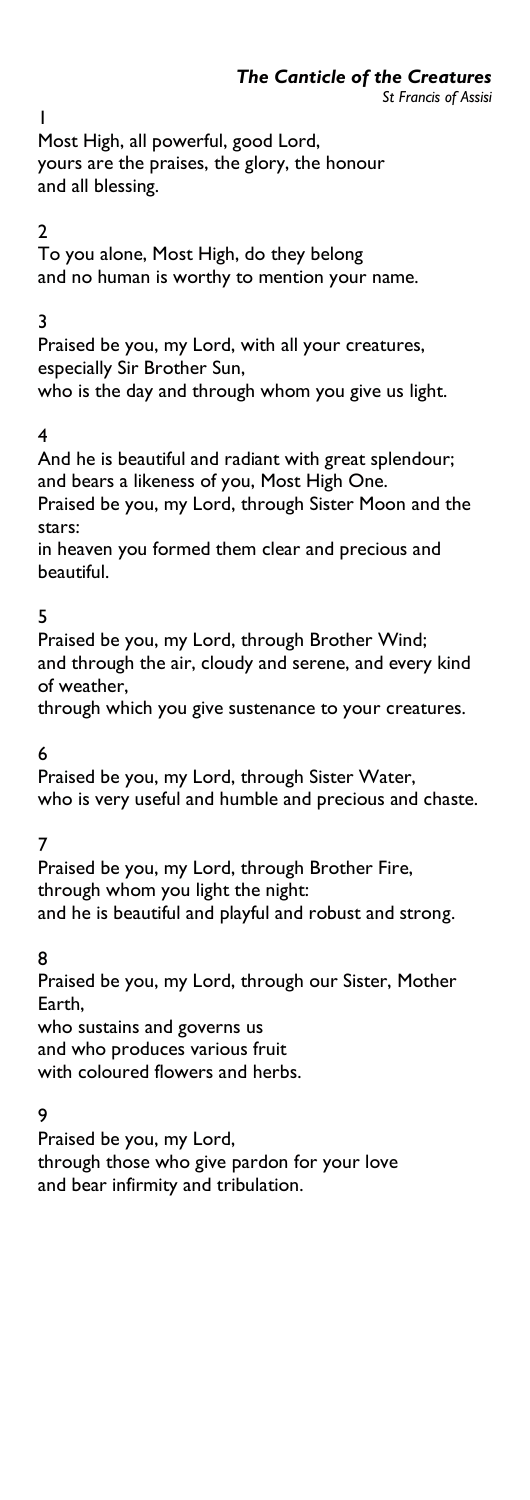1 Most High, all powerful, good Lord, yours are the praises, the glory, the honour and all blessing.

## 2

To you alone, Most High, do they belong and no human is worthy to mention your name.

## 3

Praised be you, my Lord, with all your creatures, especially Sir Brother Sun, who is the day and through whom you give us light.

## 4

And he is beautiful and radiant with great splendour; and bears a likeness of you, Most High One. Praised be you, my Lord, through Sister Moon and the stars:

in heaven you formed them clear and precious and beautiful.

## 5

Praised be you, my Lord, through Brother Wind; and through the air, cloudy and serene, and every kind of weather,

through which you give sustenance to your creatures.

6

Praised be you, my Lord, through Sister Water, who is very useful and humble and precious and chaste.

7

Praised be you, my Lord, through Brother Fire, through whom you light the night: and he is beautiful and playful and robust and strong.

8

Praised be you, my Lord, through our Sister, Mother Earth,

who sustains and governs us and who produces various fruit with coloured flowers and herbs.

## 9

Praised be you, my Lord,

through those who give pardon for your love and bear infirmity and tribulation.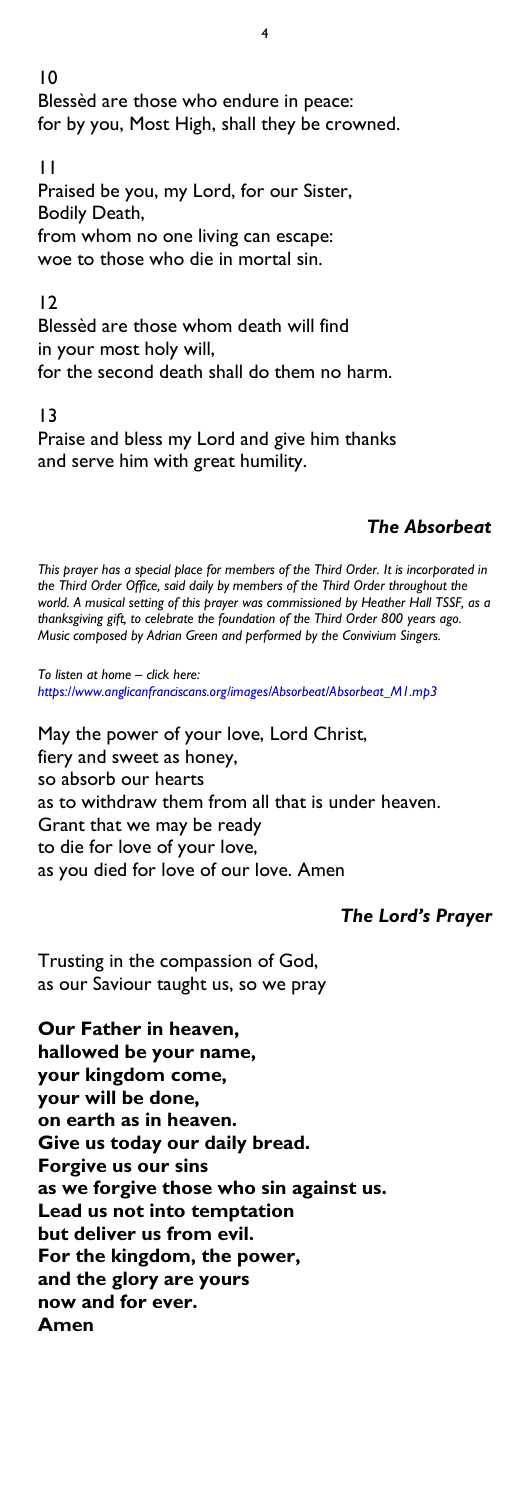10 Blessèd are those who endure in peace: for by you, Most High, shall they be crowned.

4

11 Praised be you, my Lord, for our Sister, Bodily Death, from whom no one living can escape: woe to those who die in mortal sin.

#### $\overline{12}$

Blessèd are those whom death will find in your most holy will, for the second death shall do them no harm.

#### 13

Praise and bless my Lord and give him thanks and serve him with great humility.

## *The Absorbeat*

*This prayer has a special place for members of the Third Order. It is incorporated in the Third Order Office, said daily by members of the Third Order throughout the world. A musical setting of this prayer was commissioned by Heather Hall TSSF, as a thanksgiving gift, to celebrate the foundation of the Third Order 800 years ago. Music composed by Adrian Green and performed by the Convivium Singers.*

*To listen at home – click here: [https://www.anglicanfranciscans.org/images/Absorbeat/Absorbeat\\_M1.mp3](https://www.anglicanfranciscans.org/images/Absorbeat/Absorbeat_M1.mp3)*

May the power of your love, Lord Christ, fiery and sweet as honey, so absorb our hearts as to withdraw them from all that is under heaven. Grant that we may be ready to die for love of your love, as you died for love of our love. Amen

## *The Lord's Prayer*

Trusting in the compassion of God, as our Saviour taught us, so we pray

**Our Father in heaven, hallowed be your name, your kingdom come, your will be done, on earth as in heaven. Give us today our daily bread. Forgive us our sins as we forgive those who sin against us. Lead us not into temptation but deliver us from evil. For the kingdom, the power, and the glory are yours now and for ever. Amen**